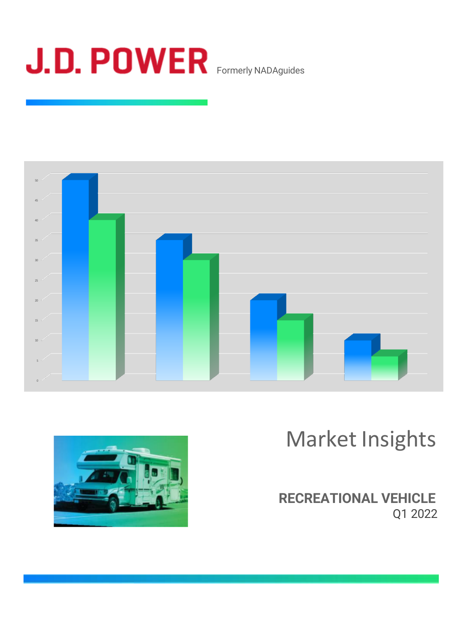





Market Insights

**RECREATIONAL VEHICLE** Q1 2022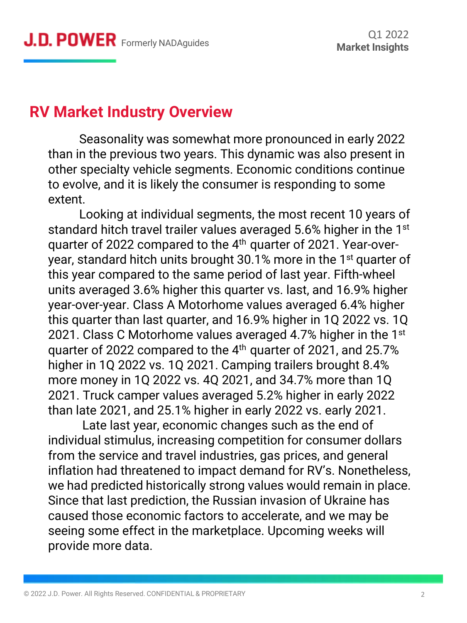## **RV Market Industry Overview**

Seasonality was somewhat more pronounced in early 2022 than in the previous two years. This dynamic was also present in other specialty vehicle segments. Economic conditions continue to evolve, and it is likely the consumer is responding to some extent.

Looking at individual segments, the most recent 10 years of standard hitch travel trailer values averaged 5.6% higher in the 1<sup>st</sup> quarter of 2022 compared to the 4<sup>th</sup> quarter of 2021. Year-overyear, standard hitch units brought 30.1% more in the 1<sup>st</sup> quarter of this year compared to the same period of last year. Fifth-wheel units averaged 3.6% higher this quarter vs. last, and 16.9% higher year-over-year. Class A Motorhome values averaged 6.4% higher this quarter than last quarter, and 16.9% higher in 1Q 2022 vs. 1Q 2021. Class C Motorhome values averaged 4.7% higher in the  $1<sup>st</sup>$ quarter of 2022 compared to the 4th quarter of 2021, and 25.7% higher in 1Q 2022 vs. 1Q 2021. Camping trailers brought 8.4% more money in 1Q 2022 vs. 4Q 2021, and 34.7% more than 1Q 2021. Truck camper values averaged 5.2% higher in early 2022 than late 2021, and 25.1% higher in early 2022 vs. early 2021.

Late last year, economic changes such as the end of individual stimulus, increasing competition for consumer dollars from the service and travel industries, gas prices, and general inflation had threatened to impact demand for RV's. Nonetheless, we had predicted historically strong values would remain in place. Since that last prediction, the Russian invasion of Ukraine has caused those economic factors to accelerate, and we may be seeing some effect in the marketplace. Upcoming weeks will provide more data.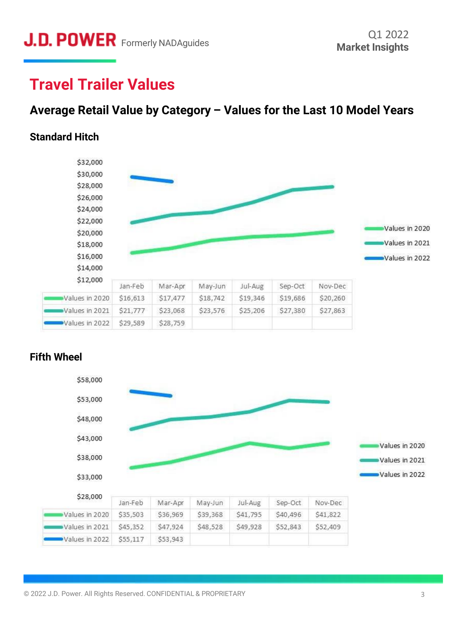## **Travel Trailer Values**

## **Average Retail Value by Category – Values for the Last 10 Model Years**

#### **Standard Hitch**





#### **Fifth Wheel**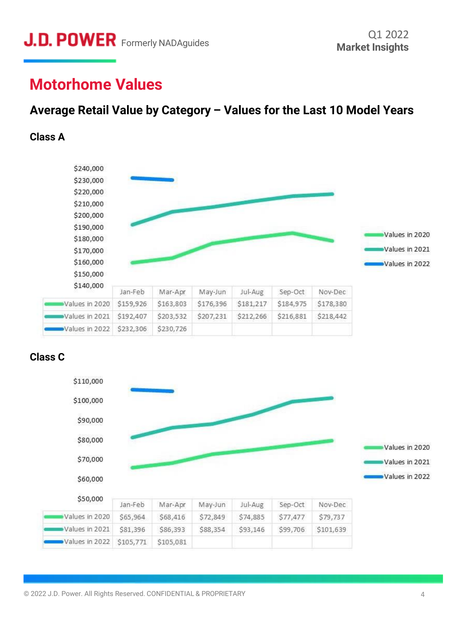# **Motorhome Values**

## **Average Retail Value by Category – Values for the Last 10 Model Years**

#### **Class A**



#### **Class C**

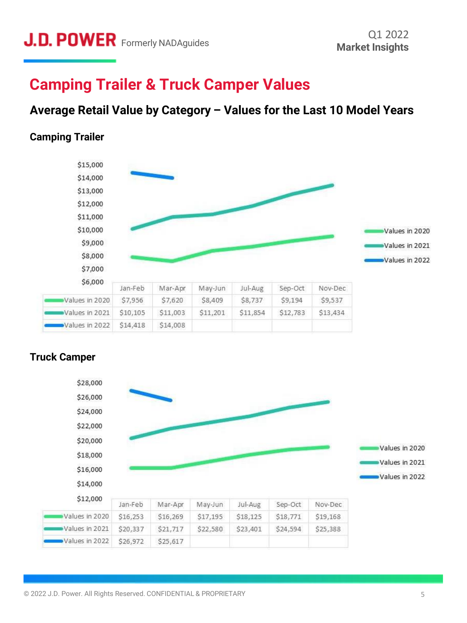## **Camping Trailer & Truck Camper Values**

### **Average Retail Value by Category – Values for the Last 10 Model Years**

#### **Camping Trailer**





#### **Truck Camper**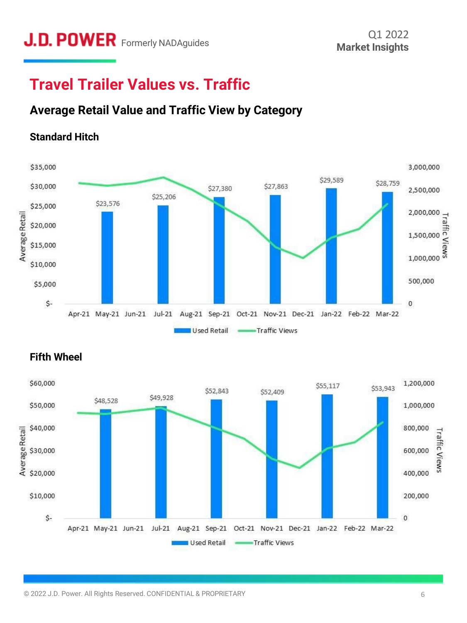# **Travel Trailer Values vs. Traffic**

## **Average Retail Value and Traffic View by Category**

#### **Standard Hitch**





#### **Fifth Wheel**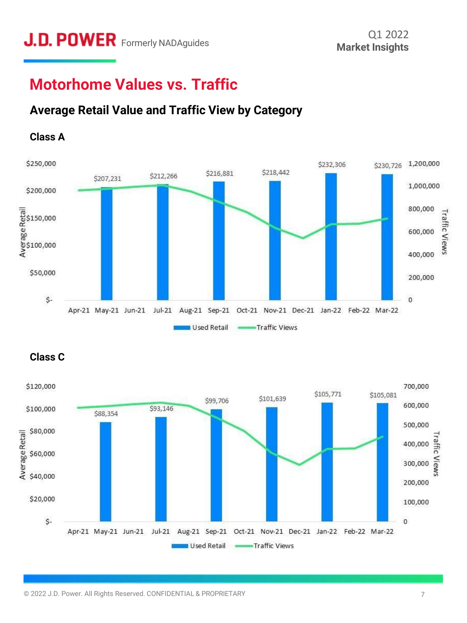# **Motorhome Values vs. Traffic**

## **Average Retail Value and Traffic View by Category**



#### **Class A**



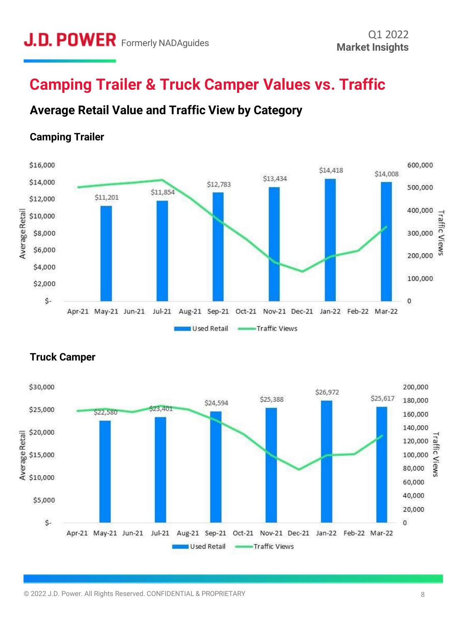## **Camping Trailer & Truck Camper Values vs. Traffic**

## **Average Retail Value and Traffic View by Category**



#### **Camping Trailer**



#### **Truck Camper**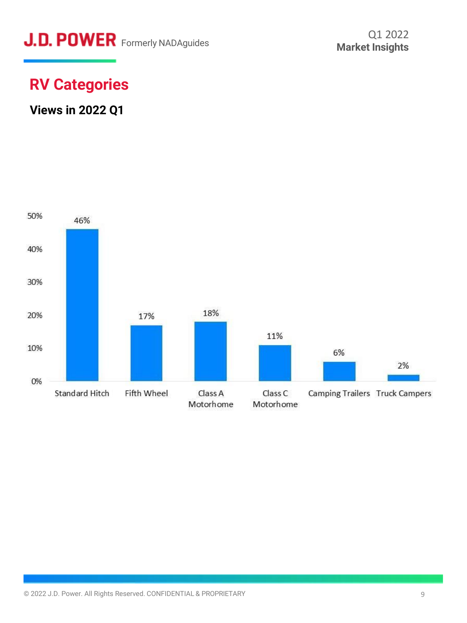# **J.D. POWER** Formerly NADAguides

# **RV Categories**

### **Views in 2022 Q1**

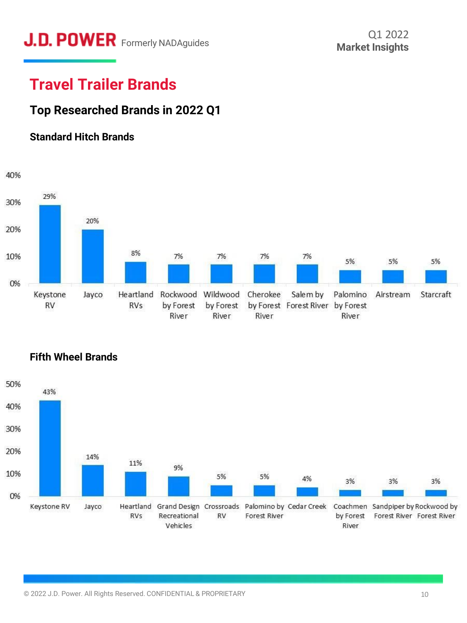# **J.D. POWER** Formerly NADAguides Market Insights

# **Travel Trailer Brands**

## **Top Researched Brands in 2022 Q1**

#### **Standard Hitch Brands**





#### **Fifth Wheel Brands**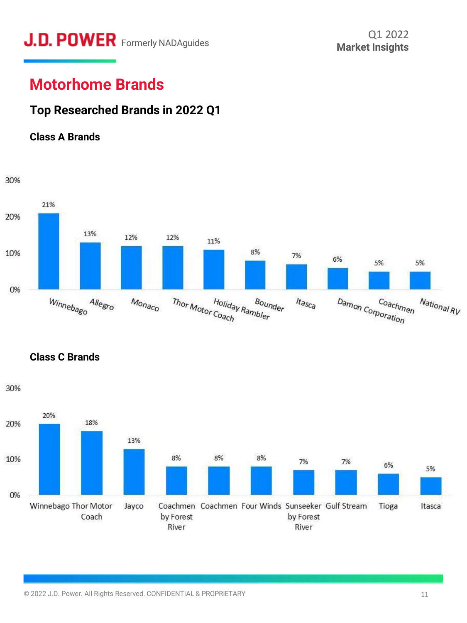# **Motorhome Brands**

## **Top Researched Brands in 2022 Q1**





**Class C Brands**

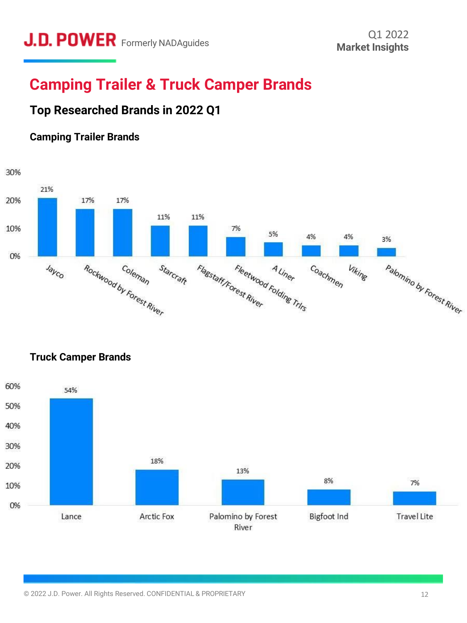# **Camping Trailer & Truck Camper Brands**

## **Top Researched Brands in 2022 Q1**

#### **Camping Trailer Brands**





**Truck Camper Brands**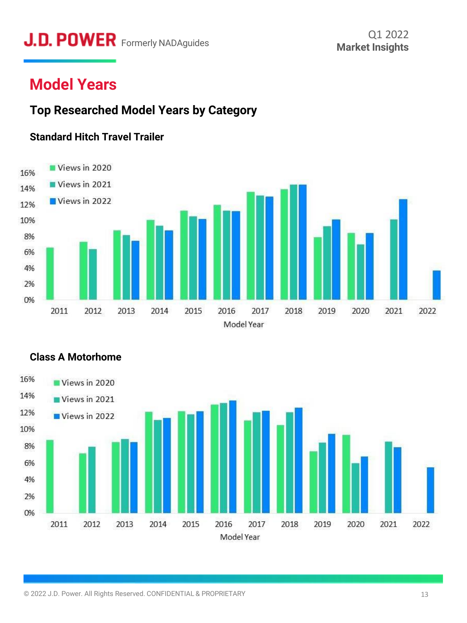# **J.D. POWER** Formerly NADAguides Market Insights

# **Model Years**

### **Top Researched Model Years by Category**

#### **Standard Hitch Travel Trailer**





#### **Class A Motorhome**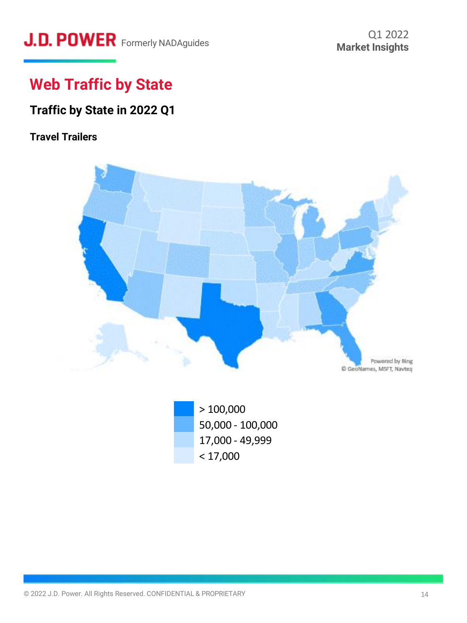# **J.D. POWER** Formerly NADAguides **Containery MADAguides** Market Insights

# **Web Traffic by State**

## **Traffic by State in 2022 Q1**

#### **Travel Trailers**



> 100,000 50,000 - 100,000 17,000 - 49,999  $< 17,000$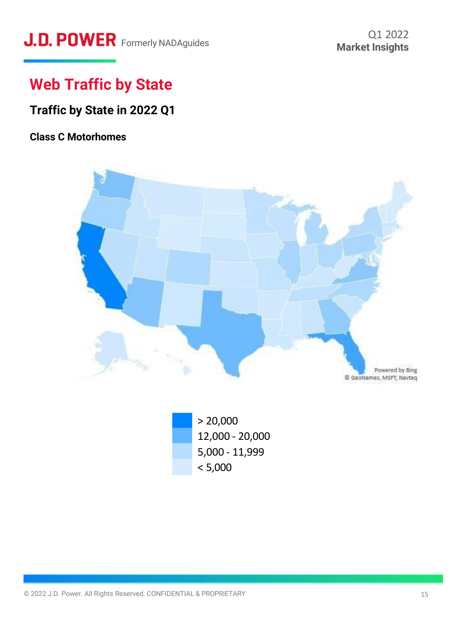# **J.D. POWER** Formerly NADAguides

# **Web Traffic by State**

### **Traffic by State in 2022 Q1**

#### **Class C Motorhomes**



 $> 20,000$ 12,000 - 20,000 5,000 - 11,999  $< 5,000$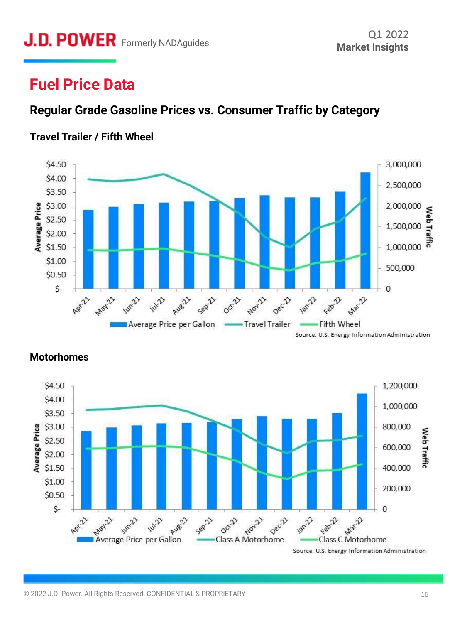# **Fuel Price Data**

## **Regular Grade Gasoline Prices vs. Consumer Traffic by Category**



#### **Travel Trailer / Fifth Wheel**

Source: U.S. Energy Information Administration



#### **Motorhomes**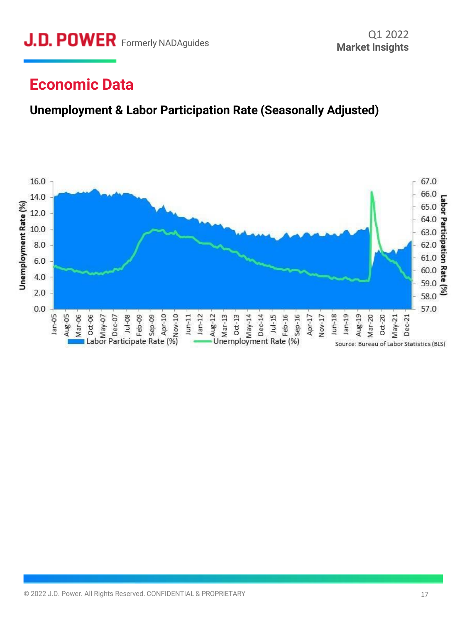# **Economic Data**

## **Unemployment & Labor Participation Rate (Seasonally Adjusted)**